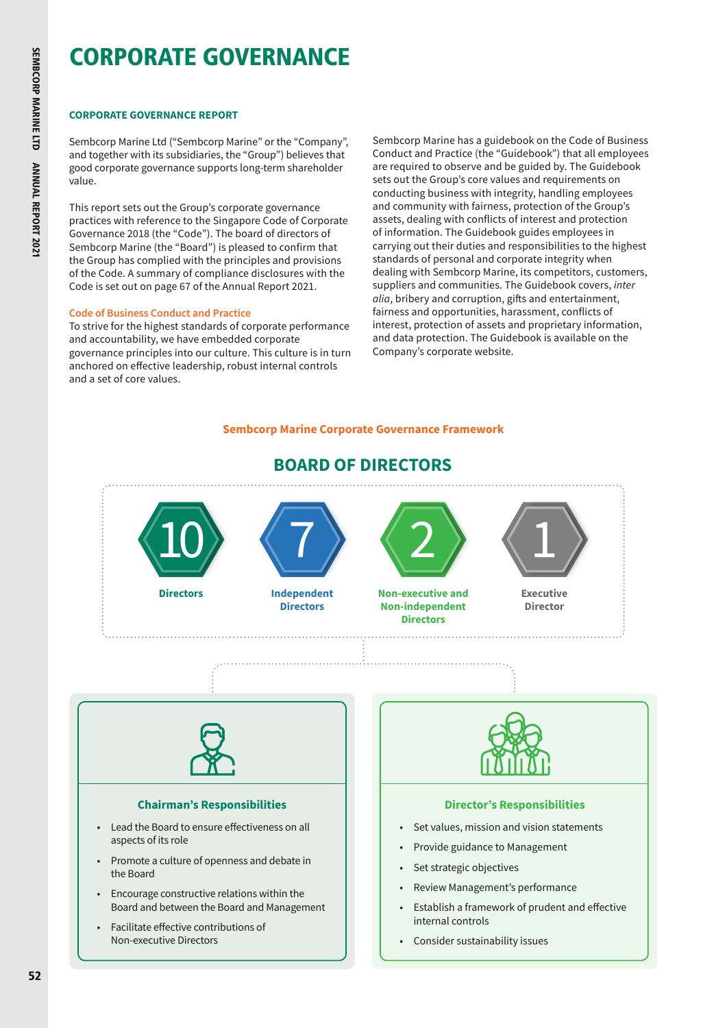# **CORPORATE GOVERNANCE REPORT**

Sembcorp Marine Ltd ("Sembcorp Marine" or the "Company", and together with its subsidiaries, the "Group") believes that good corporate governance supports long-term shareholder value.

This report sets out the Group's corporate governance practices with reference to the Singapore Code of Corporate Governance 2018 (the "Code"). The board of directors of Sembcorp Marine (the "Board") is pleased to confirm that the Group has complied with the principles and provisions of the Code. A summary of compliance disclosures with the Code is set out on page 67 of the Annual Report 2021.

# **Code of Business Conduct and Practice**

To strive for the highest standards of corporate performance and accountability, we have embedded corporate governance principles into our culture. This culture is in turn anchored on effective leadership, robust internal controls and a set of core values.

Sembcorp Marine has a guidebook on the Code of Business Conduct and Practice (the "Guidebook") that all employees are required to observe and be guided by. The Guidebook sets out the Group's core values and requirements on conducting business with integrity, handling employees and community with fairness, protection of the Group's assets, dealing with conflicts of interest and protection of information. The Guidebook guides employees in carrying out their duties and responsibilities to the highest standards of personal and corporate integrity when dealing with Sembcorp Marine, its competitors, customers, suppliers and communities. The Guidebook covers, *inter alia*, bribery and corruption, gifts and entertainment, fairness and opportunities, harassment, conflicts of interest, protection of assets and proprietary information, and data protection. The Guidebook is available on the Company's corporate website.

# **Sembcorp Marine Corporate Governance Framework**



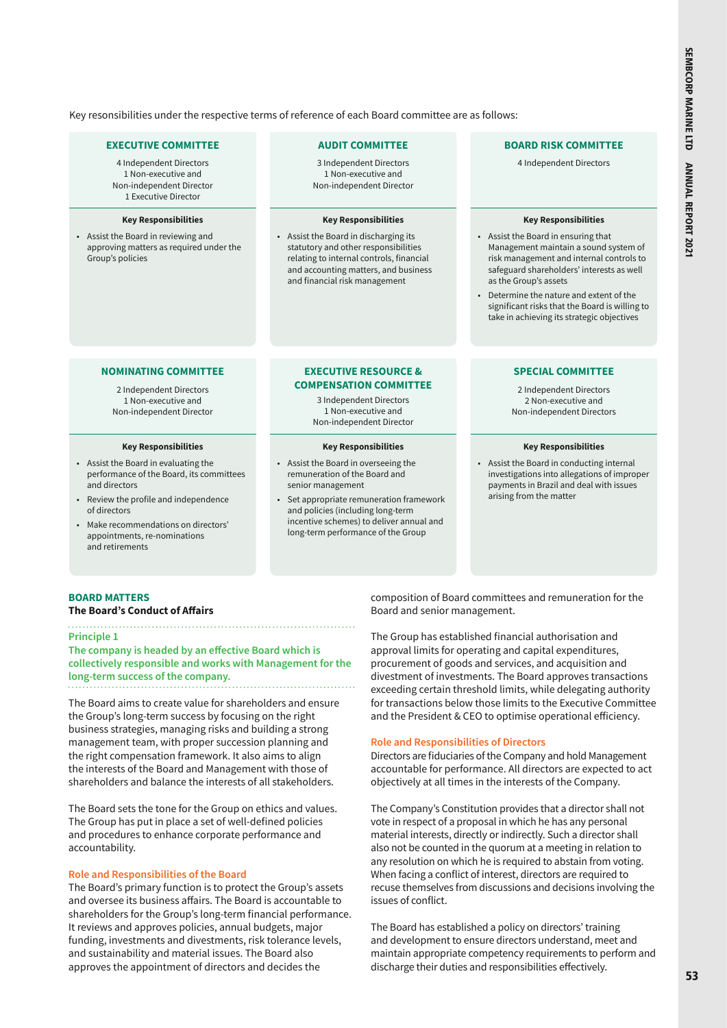Key resonsibilities under the respective terms of reference of each Board committee are as follows:

#### **EXECUTIVE COMMITTEE**

4 Independent Directors 1 Non-executive and Non-independent Director 1 Executive Director

#### **Key Responsibilities**

• Assist the Board in reviewing and approving matters as required under the Group's policies

#### **AUDIT COMMITTEE**

3 Independent Directors 1 Non-executive and Non-independent Director

#### **Key Responsibilities**

• Assist the Board in discharging its statutory and other responsibilities relating to internal controls, financial and accounting matters, and business and financial risk management

#### **BOARD RISK COMMITTEE**

4 Independent Directors

#### **Key Responsibilities**

- Assist the Board in ensuring that Management maintain a sound system of risk management and internal controls to safeguard shareholders' interests as well as the Group's assets
- Determine the nature and extent of the significant risks that the Board is willing to take in achieving its strategic objectives

#### **NOMINATING COMMITTEE**

2 Independent Directors 1 Non-executive and Non-independent Director

#### **Key Responsibilities**

- Assist the Board in evaluating the performance of the Board, its committees and directors
- Review the profile and independence of directors
- Make recommendations on directors' appointments, re-nominations and retirements

#### **EXECUTIVE RESOURCE & COMPENSATION COMMITTEE**

3 Independent Directors 1 Non-executive and Non-independent Director

#### **Key Responsibilities**

- Assist the Board in overseeing the remuneration of the Board and senior management
- Set appropriate remuneration framework and policies (including long-term incentive schemes) to deliver annual and long-term performance of the Group

#### **SPECIAL COMMITTEE**

2 Independent Directors 2 Non-executive and Non-independent Directors

#### **Key Responsibilities**

• Assist the Board in conducting internal investigations into allegations of improper payments in Brazil and deal with issues arising from the matter

#### **BOARD MATTERS**

### **The Board's Conduct of Affairs**

#### **Principle 1**

**The company is headed by an effective Board which is collectively responsible and works with Management for the long-term success of the company.**

The Board aims to create value for shareholders and ensure the Group's long-term success by focusing on the right business strategies, managing risks and building a strong management team, with proper succession planning and the right compensation framework. It also aims to align the interests of the Board and Management with those of shareholders and balance the interests of all stakeholders.

The Board sets the tone for the Group on ethics and values. The Group has put in place a set of well-defined policies and procedures to enhance corporate performance and accountability.

#### **Role and Responsibilities of the Board**

The Board's primary function is to protect the Group's assets and oversee its business affairs. The Board is accountable to shareholders for the Group's long-term financial performance. It reviews and approves policies, annual budgets, major funding, investments and divestments, risk tolerance levels, and sustainability and material issues. The Board also approves the appointment of directors and decides the

composition of Board committees and remuneration for the Board and senior management.

The Group has established financial authorisation and approval limits for operating and capital expenditures, procurement of goods and services, and acquisition and divestment of investments. The Board approves transactions exceeding certain threshold limits, while delegating authority for transactions below those limits to the Executive Committee and the President & CEO to optimise operational efficiency.

#### **Role and Responsibilities of Directors**

Directors are fiduciaries of the Company and hold Management accountable for performance. All directors are expected to act objectively at all times in the interests of the Company.

The Company's Constitution provides that a director shall not vote in respect of a proposal in which he has any personal material interests, directly or indirectly. Such a director shall also not be counted in the quorum at a meeting in relation to any resolution on which he is required to abstain from voting. When facing a conflict of interest, directors are required to recuse themselves from discussions and decisions involving the issues of conflict.

The Board has established a policy on directors' training and development to ensure directors understand, meet and maintain appropriate competency requirements to perform and discharge their duties and responsibilities effectively.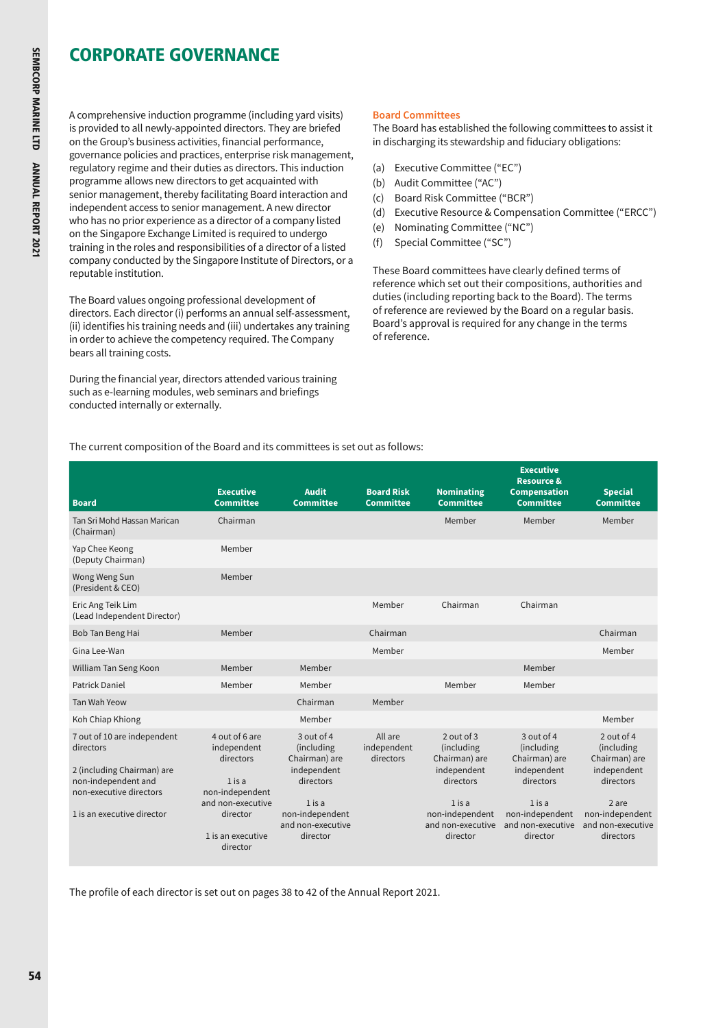A comprehensive induction programme (including yard visits) is provided to all newly-appointed directors. They are briefed on the Group's business activities, financial performance, governance policies and practices, enterprise risk management, regulatory regime and their duties as directors. This induction programme allows new directors to get acquainted with senior management, thereby facilitating Board interaction and independent access to senior management. A new director who has no prior experience as a director of a company listed on the Singapore Exchange Limited is required to undergo training in the roles and responsibilities of a director of a listed company conducted by the Singapore Institute of Directors, or a reputable institution.

The Board values ongoing professional development of directors. Each director (i) performs an annual self-assessment, (ii) identifies his training needs and (iii) undertakes any training in order to achieve the competency required. The Company bears all training costs.

During the financial year, directors attended various training such as e-learning modules, web seminars and briefings conducted internally or externally.

# **Board Committees**

The Board has established the following committees to assist it in discharging its stewardship and fiduciary obligations:

- (a) Executive Committee ("EC")
- (b) Audit Committee ("AC")
- (c) Board Risk Committee ("BCR")
- (d) Executive Resource & Compensation Committee ("ERCC")
- (e) Nominating Committee ("NC")
- (f) Special Committee ("SC")

These Board committees have clearly defined terms of reference which set out their compositions, authorities and duties (including reporting back to the Board). The terms of reference are reviewed by the Board on a regular basis. Board's approval is required for any change in the terms of reference.

The current composition of the Board and its committees is set out as follows:

| <b>Board</b>                                                                                                                                           | <b>Executive</b><br><b>Committee</b>                                                                                                        | <b>Audit</b><br><b>Committee</b>                                                                                                      | <b>Board Risk</b><br><b>Committee</b> | <b>Nominating</b><br><b>Committee</b>                                                                                                 | <b>Executive</b><br><b>Resource &amp;</b><br><b>Compensation</b><br><b>Committee</b>                                                    | <b>Special</b><br><b>Committee</b>                                                                                                  |
|--------------------------------------------------------------------------------------------------------------------------------------------------------|---------------------------------------------------------------------------------------------------------------------------------------------|---------------------------------------------------------------------------------------------------------------------------------------|---------------------------------------|---------------------------------------------------------------------------------------------------------------------------------------|-----------------------------------------------------------------------------------------------------------------------------------------|-------------------------------------------------------------------------------------------------------------------------------------|
| Tan Sri Mohd Hassan Marican<br>(Chairman)                                                                                                              | Chairman                                                                                                                                    |                                                                                                                                       |                                       | Member                                                                                                                                | Member                                                                                                                                  | Member                                                                                                                              |
| Yap Chee Keong<br>(Deputy Chairman)                                                                                                                    | Member                                                                                                                                      |                                                                                                                                       |                                       |                                                                                                                                       |                                                                                                                                         |                                                                                                                                     |
| Wong Weng Sun<br>(President & CEO)                                                                                                                     | Member                                                                                                                                      |                                                                                                                                       |                                       |                                                                                                                                       |                                                                                                                                         |                                                                                                                                     |
| Eric Ang Teik Lim<br>(Lead Independent Director)                                                                                                       |                                                                                                                                             |                                                                                                                                       | Member                                | Chairman                                                                                                                              | Chairman                                                                                                                                |                                                                                                                                     |
| Bob Tan Beng Hai                                                                                                                                       | Member                                                                                                                                      |                                                                                                                                       | Chairman                              |                                                                                                                                       |                                                                                                                                         | Chairman                                                                                                                            |
| Gina Lee-Wan                                                                                                                                           |                                                                                                                                             |                                                                                                                                       | Member                                |                                                                                                                                       |                                                                                                                                         | Member                                                                                                                              |
| William Tan Seng Koon                                                                                                                                  | Member                                                                                                                                      | Member                                                                                                                                |                                       |                                                                                                                                       | Member                                                                                                                                  |                                                                                                                                     |
| Patrick Daniel                                                                                                                                         | Member                                                                                                                                      | Member                                                                                                                                |                                       | Member                                                                                                                                | Member                                                                                                                                  |                                                                                                                                     |
| Tan Wah Yeow                                                                                                                                           |                                                                                                                                             | Chairman                                                                                                                              | Member                                |                                                                                                                                       |                                                                                                                                         |                                                                                                                                     |
| Koh Chiap Khiong                                                                                                                                       |                                                                                                                                             | Member                                                                                                                                |                                       |                                                                                                                                       |                                                                                                                                         | Member                                                                                                                              |
| 7 out of 10 are independent<br>directors<br>2 (including Chairman) are<br>non-independent and<br>non-executive directors<br>1 is an executive director | 4 out of 6 are<br>independent<br>directors<br>$1$ is a<br>non-independent<br>and non-executive<br>director<br>1 is an executive<br>director | 3 out of 4<br>(including<br>Chairman) are<br>independent<br>directors<br>$1$ is a<br>non-independent<br>and non-executive<br>director | All are<br>independent<br>directors   | 2 out of 3<br>(including<br>Chairman) are<br>independent<br>directors<br>$1$ is a<br>non-independent<br>and non-executive<br>director | $3$ out of 4<br>(including<br>Chairman) are<br>independent<br>directors<br>$1$ is a<br>non-independent<br>and non-executive<br>director | 2 out of 4<br>(including<br>Chairman) are<br>independent<br>directors<br>2 are<br>non-independent<br>and non-executive<br>directors |

The profile of each director is set out on pages 38 to 42 of the Annual Report 2021.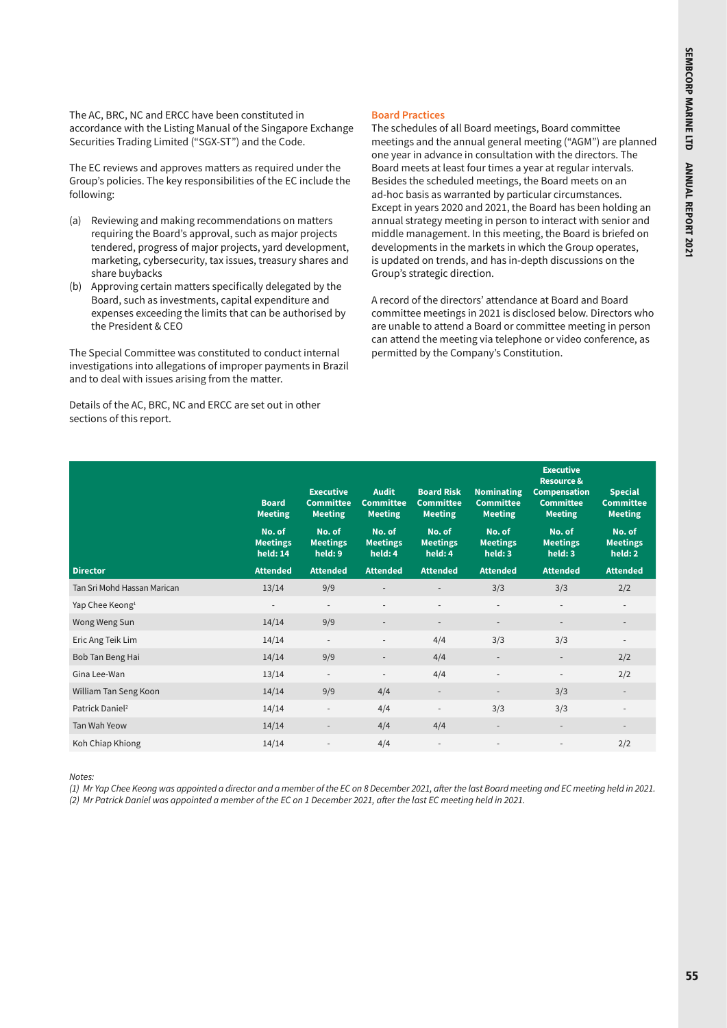The AC, BRC, NC and ERCC have been constituted in accordance with the Listing Manual of the Singapore Exchange Securities Trading Limited ("SGX-ST") and the Code.

The EC reviews and approves matters as required under the Group's policies. The key responsibilities of the EC include the following:

- (a) Reviewing and making recommendations on matters requiring the Board's approval, such as major projects tendered, progress of major projects, yard development, marketing, cybersecurity, tax issues, treasury shares and share buybacks
- (b) Approving certain matters specifically delegated by the Board, such as investments, capital expenditure and expenses exceeding the limits that can be authorised by the President & CEO

The Special Committee was constituted to conduct internal investigations into allegations of improper payments in Brazil and to deal with issues arising from the matter.

Details of the AC, BRC, NC and ERCC are set out in other sections of this report.

# **Board Practices**

The schedules of all Board meetings, Board committee meetings and the annual general meeting ("AGM") are planned one year in advance in consultation with the directors. The Board meets at least four times a year at regular intervals. Besides the scheduled meetings, the Board meets on an ad-hoc basis as warranted by particular circumstances. Except in years 2020 and 2021, the Board has been holding an annual strategy meeting in person to interact with senior and middle management. In this meeting, the Board is briefed on developments in the markets in which the Group operates, is updated on trends, and has in-depth discussions on the Group's strategic direction.

A record of the directors' attendance at Board and Board committee meetings in 2021 is disclosed below. Directors who are unable to attend a Board or committee meeting in person can attend the meeting via telephone or video conference, as permitted by the Company's Constitution.

|                             | <b>Board</b><br><b>Meeting</b>        | <b>Executive</b><br><b>Committee</b><br><b>Meeting</b> | <b>Audit</b><br><b>Committee</b><br><b>Meeting</b> | <b>Board Risk</b><br><b>Committee</b><br><b>Meeting</b> | Nominating<br><b>Committee</b><br><b>Meeting</b> | <b>Executive</b><br><b>Resource &amp;</b><br><b>Compensation</b><br><b>Committee</b><br><b>Meeting</b> | <b>Special</b><br><b>Committee</b><br><b>Meeting</b> |
|-----------------------------|---------------------------------------|--------------------------------------------------------|----------------------------------------------------|---------------------------------------------------------|--------------------------------------------------|--------------------------------------------------------------------------------------------------------|------------------------------------------------------|
|                             | No. of<br><b>Meetings</b><br>held: 14 | No. of<br><b>Meetings</b><br>held: 9                   | No. of<br><b>Meetings</b><br>held: 4               | No. of<br><b>Meetings</b><br>held: 4                    | No. of<br><b>Meetings</b><br>held: 3             | No. of<br><b>Meetings</b><br>held: 3                                                                   | No. of<br><b>Meetings</b><br>held: 2                 |
| <b>Director</b>             | <b>Attended</b>                       | <b>Attended</b>                                        | <b>Attended</b>                                    | <b>Attended</b>                                         | <b>Attended</b>                                  | <b>Attended</b>                                                                                        | <b>Attended</b>                                      |
| Tan Sri Mohd Hassan Marican | 13/14                                 | 9/9                                                    | $\blacksquare$                                     |                                                         | 3/3                                              | 3/3                                                                                                    | 2/2                                                  |
| Yap Chee Keong <sup>1</sup> | $\overline{\phantom{a}}$              | $\overline{\phantom{a}}$                               | $\overline{\phantom{a}}$                           | $\overline{\phantom{a}}$                                | $\overline{\phantom{a}}$                         | $\overline{\phantom{a}}$                                                                               |                                                      |
| Wong Weng Sun               | 14/14                                 | 9/9                                                    | $\overline{\phantom{a}}$                           | $\overline{\phantom{a}}$                                | $\overline{\phantom{a}}$                         | $\overline{\phantom{a}}$                                                                               |                                                      |
| Eric Ang Teik Lim           | 14/14                                 | $\overline{\phantom{a}}$                               |                                                    | 4/4                                                     | 3/3                                              | 3/3                                                                                                    | $\overline{\phantom{a}}$                             |
| Bob Tan Beng Hai            | 14/14                                 | 9/9                                                    | $\overline{\phantom{a}}$                           | 4/4                                                     | $\overline{\phantom{a}}$                         | $\overline{\phantom{a}}$                                                                               | 2/2                                                  |
| Gina Lee-Wan                | 13/14                                 | $\overline{\phantom{a}}$                               | $\overline{\phantom{a}}$                           | 4/4                                                     |                                                  | $\overline{a}$                                                                                         | 2/2                                                  |
| William Tan Seng Koon       | 14/14                                 | 9/9                                                    | 4/4                                                | $\overline{\phantom{a}}$                                |                                                  | 3/3                                                                                                    | $\overline{\phantom{a}}$                             |
| Patrick Daniel <sup>2</sup> | 14/14                                 | $\overline{\phantom{a}}$                               | 4/4                                                | $\overline{\phantom{a}}$                                | 3/3                                              | 3/3                                                                                                    |                                                      |
| Tan Wah Yeow                | 14/14                                 | $\overline{\phantom{a}}$                               | 4/4                                                | 4/4                                                     | $\sim$                                           | $\overline{\phantom{a}}$                                                                               | $\sim$                                               |
| Koh Chiap Khiong            | 14/14                                 |                                                        | 4/4                                                | $\overline{\phantom{a}}$                                |                                                  | ٠                                                                                                      | 2/2                                                  |

*Notes:*

*(1) Mr Yap Chee Keong was appointed a director and a member of the EC on 8 December 2021, after the last Board meeting and EC meeting held in 2021.* 

*(2) Mr Patrick Daniel was appointed a member of the EC on 1 December 2021, after the last EC meeting held in 2021.*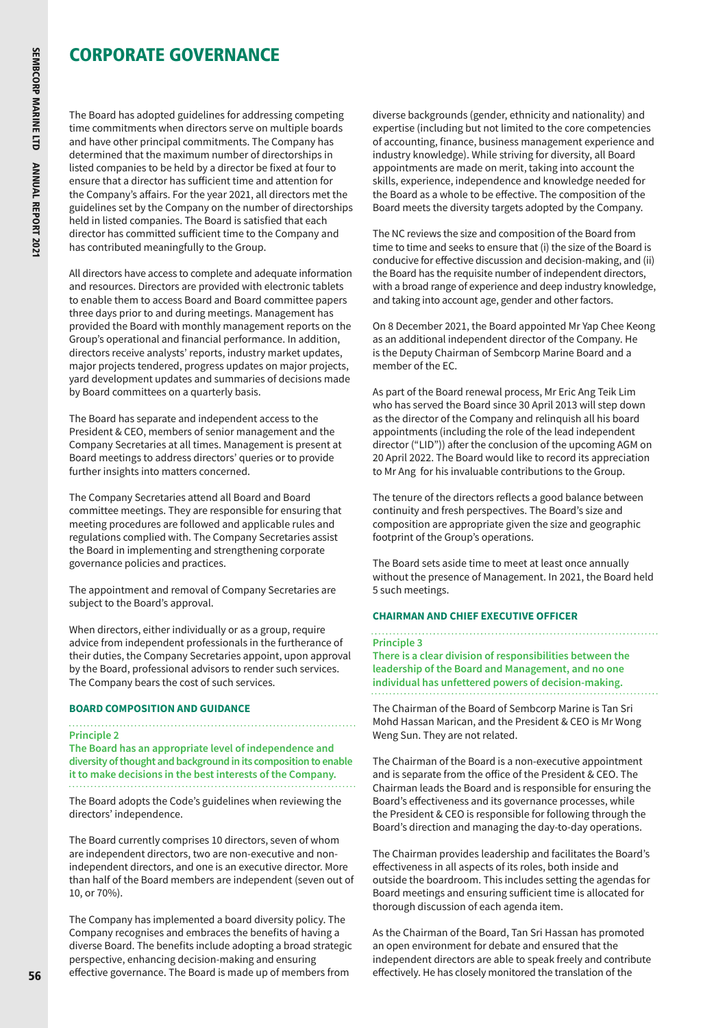The Board has adopted guidelines for addressing competing time commitments when directors serve on multiple boards and have other principal commitments. The Company has determined that the maximum number of directorships in listed companies to be held by a director be fixed at four to ensure that a director has sufficient time and attention for the Company's affairs. For the year 2021, all directors met the guidelines set by the Company on the number of directorships held in listed companies. The Board is satisfied that each director has committed sufficient time to the Company and has contributed meaningfully to the Group.

All directors have access to complete and adequate information and resources. Directors are provided with electronic tablets to enable them to access Board and Board committee papers three days prior to and during meetings. Management has provided the Board with monthly management reports on the Group's operational and financial performance. In addition, directors receive analysts' reports, industry market updates, major projects tendered, progress updates on major projects, yard development updates and summaries of decisions made by Board committees on a quarterly basis.

The Board has separate and independent access to the President & CEO, members of senior management and the Company Secretaries at all times. Management is present at Board meetings to address directors' queries or to provide further insights into matters concerned.

The Company Secretaries attend all Board and Board committee meetings. They are responsible for ensuring that meeting procedures are followed and applicable rules and regulations complied with. The Company Secretaries assist the Board in implementing and strengthening corporate governance policies and practices.

The appointment and removal of Company Secretaries are subject to the Board's approval.

When directors, either individually or as a group, require advice from independent professionals in the furtherance of their duties, the Company Secretaries appoint, upon approval by the Board, professional advisors to render such services. The Company bears the cost of such services.

### **BOARD COMPOSITION AND GUIDANCE**

#### **Principle 2**

**The Board has an appropriate level of independence and diversity of thought and background in its composition to enable it to make decisions in the best interests of the Company.**

The Board adopts the Code's guidelines when reviewing the directors' independence.

The Board currently comprises 10 directors, seven of whom are independent directors, two are non-executive and nonindependent directors, and one is an executive director. More than half of the Board members are independent (seven out of 10, or 70%).

The Company has implemented a board diversity policy. The Company recognises and embraces the benefits of having a diverse Board. The benefits include adopting a broad strategic perspective, enhancing decision-making and ensuring effective governance. The Board is made up of members from

diverse backgrounds (gender, ethnicity and nationality) and expertise (including but not limited to the core competencies of accounting, finance, business management experience and industry knowledge). While striving for diversity, all Board appointments are made on merit, taking into account the skills, experience, independence and knowledge needed for the Board as a whole to be effective. The composition of the Board meets the diversity targets adopted by the Company.

The NC reviews the size and composition of the Board from time to time and seeks to ensure that (i) the size of the Board is conducive for effective discussion and decision-making, and (ii) the Board has the requisite number of independent directors, with a broad range of experience and deep industry knowledge, and taking into account age, gender and other factors.

On 8 December 2021, the Board appointed Mr Yap Chee Keong as an additional independent director of the Company. He is the Deputy Chairman of Sembcorp Marine Board and a member of the EC.

As part of the Board renewal process, Mr Eric Ang Teik Lim who has served the Board since 30 April 2013 will step down as the director of the Company and relinquish all his board appointments (including the role of the lead independent director ("LID")) after the conclusion of the upcoming AGM on 20 April 2022. The Board would like to record its appreciation to Mr Ang for his invaluable contributions to the Group.

The tenure of the directors reflects a good balance between continuity and fresh perspectives. The Board's size and composition are appropriate given the size and geographic footprint of the Group's operations.

The Board sets aside time to meet at least once annually without the presence of Management. In 2021, the Board held 5 such meetings.

### **CHAIRMAN AND CHIEF EXECUTIVE OFFICER**

# **Principle 3**

**There is a clear division of responsibilities between the leadership of the Board and Management, and no one individual has unfettered powers of decision-making.**

The Chairman of the Board of Sembcorp Marine is Tan Sri Mohd Hassan Marican, and the President & CEO is Mr Wong Weng Sun. They are not related.

The Chairman of the Board is a non-executive appointment and is separate from the office of the President & CEO. The Chairman leads the Board and is responsible for ensuring the Board's effectiveness and its governance processes, while the President & CEO is responsible for following through the Board's direction and managing the day-to-day operations.

The Chairman provides leadership and facilitates the Board's effectiveness in all aspects of its roles, both inside and outside the boardroom. This includes setting the agendas for Board meetings and ensuring sufficient time is allocated for thorough discussion of each agenda item.

As the Chairman of the Board, Tan Sri Hassan has promoted an open environment for debate and ensured that the independent directors are able to speak freely and contribute effectively. He has closely monitored the translation of the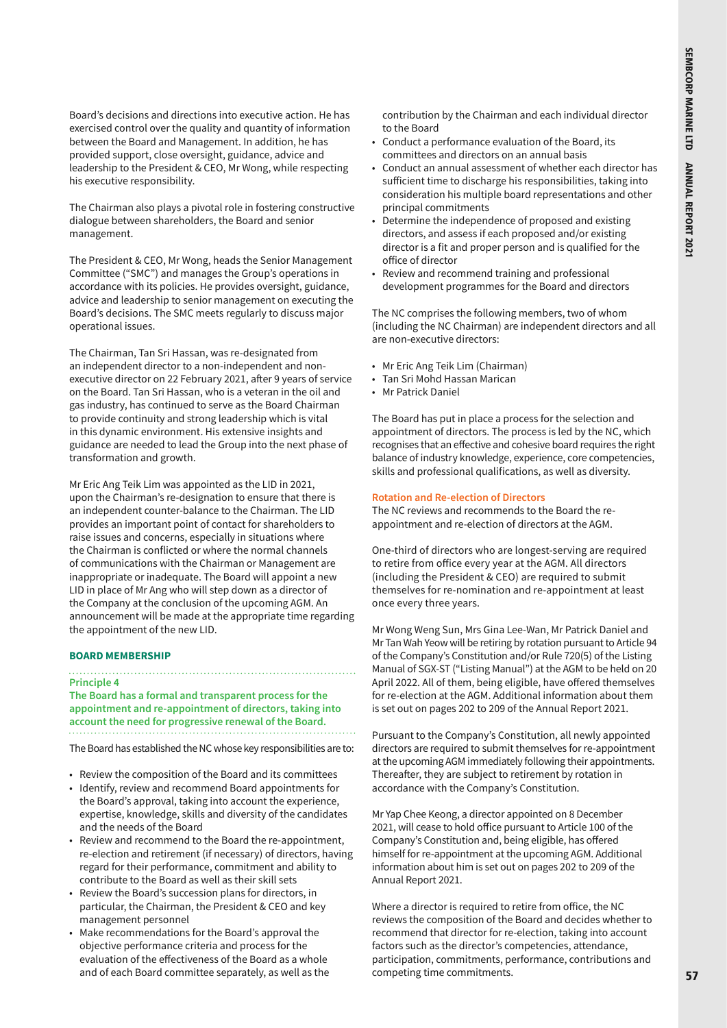Board's decisions and directions into executive action. He has exercised control over the quality and quantity of information between the Board and Management. In addition, he has provided support, close oversight, guidance, advice and leadership to the President & CEO, Mr Wong, while respecting his executive responsibility.

The Chairman also plays a pivotal role in fostering constructive dialogue between shareholders, the Board and senior management.

The President & CEO, Mr Wong, heads the Senior Management Committee ("SMC") and manages the Group's operations in accordance with its policies. He provides oversight, guidance, advice and leadership to senior management on executing the Board's decisions. The SMC meets regularly to discuss major operational issues.

The Chairman, Tan Sri Hassan, was re-designated from an independent director to a non-independent and nonexecutive director on 22 February 2021, after 9 years of service on the Board. Tan Sri Hassan, who is a veteran in the oil and gas industry, has continued to serve as the Board Chairman to provide continuity and strong leadership which is vital in this dynamic environment. His extensive insights and guidance are needed to lead the Group into the next phase of transformation and growth.

Mr Eric Ang Teik Lim was appointed as the LID in 2021, upon the Chairman's re-designation to ensure that there is an independent counter-balance to the Chairman. The LID provides an important point of contact for shareholders to raise issues and concerns, especially in situations where the Chairman is conflicted or where the normal channels of communications with the Chairman or Management are inappropriate or inadequate. The Board will appoint a new LID in place of Mr Ang who will step down as a director of the Company at the conclusion of the upcoming AGM. An announcement will be made at the appropriate time regarding the appointment of the new LID.

#### **BOARD MEMBERSHIP**

#### **Principle 4**

**The Board has a formal and transparent process for the appointment and re-appointment of directors, taking into account the need for progressive renewal of the Board.**

The Board has established the NC whose key responsibilities are to:

- Review the composition of the Board and its committees
- Identify, review and recommend Board appointments for the Board's approval, taking into account the experience, expertise, knowledge, skills and diversity of the candidates and the needs of the Board
- Review and recommend to the Board the re-appointment, re-election and retirement (if necessary) of directors, having regard for their performance, commitment and ability to contribute to the Board as well as their skill sets
- Review the Board's succession plans for directors, in particular, the Chairman, the President & CEO and key management personnel
- Make recommendations for the Board's approval the objective performance criteria and process for the evaluation of the effectiveness of the Board as a whole and of each Board committee separately, as well as the

contribution by the Chairman and each individual director to the Board

- Conduct a performance evaluation of the Board, its committees and directors on an annual basis
- Conduct an annual assessment of whether each director has sufficient time to discharge his responsibilities, taking into consideration his multiple board representations and other principal commitments
- Determine the independence of proposed and existing directors, and assess if each proposed and/or existing director is a fit and proper person and is qualified for the office of director
- Review and recommend training and professional development programmes for the Board and directors

The NC comprises the following members, two of whom (including the NC Chairman) are independent directors and all are non-executive directors:

- Mr Eric Ang Teik Lim (Chairman)
- Tan Sri Mohd Hassan Marican
- Mr Patrick Daniel

The Board has put in place a process for the selection and appointment of directors. The process is led by the NC, which recognises that an effective and cohesive board requires the right balance of industry knowledge, experience, core competencies, skills and professional qualifications, as well as diversity.

#### **Rotation and Re-election of Directors**

The NC reviews and recommends to the Board the reappointment and re-election of directors at the AGM.

One-third of directors who are longest-serving are required to retire from office every year at the AGM. All directors (including the President & CEO) are required to submit themselves for re-nomination and re-appointment at least once every three years.

Mr Wong Weng Sun, Mrs Gina Lee-Wan, Mr Patrick Daniel and Mr Tan Wah Yeow will be retiring by rotation pursuant to Article 94 of the Company's Constitution and/or Rule 720(5) of the Listing Manual of SGX-ST ("Listing Manual") at the AGM to be held on 20 April 2022. All of them, being eligible, have offered themselves for re-election at the AGM. Additional information about them is set out on pages 202 to 209 of the Annual Report 2021.

Pursuant to the Company's Constitution, all newly appointed directors are required to submit themselves for re-appointment at the upcoming AGM immediately following their appointments. Thereafter, they are subject to retirement by rotation in accordance with the Company's Constitution.

Mr Yap Chee Keong, a director appointed on 8 December 2021, will cease to hold office pursuant to Article 100 of the Company's Constitution and, being eligible, has offered himself for re-appointment at the upcoming AGM. Additional information about him is set out on pages 202 to 209 of the Annual Report 2021.

Where a director is required to retire from office, the NC reviews the composition of the Board and decides whether to recommend that director for re-election, taking into account factors such as the director's competencies, attendance, participation, commitments, performance, contributions and competing time commitments.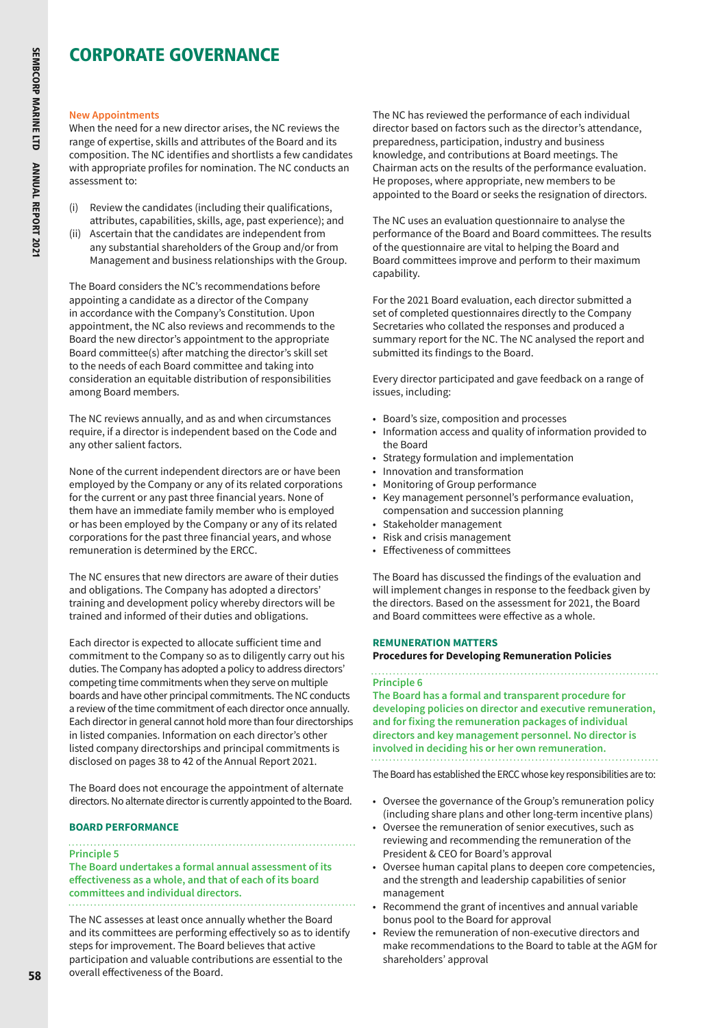#### **New Appointments**

When the need for a new director arises, the NC reviews the range of expertise, skills and attributes of the Board and its composition. The NC identifies and shortlists a few candidates with appropriate profiles for nomination. The NC conducts an assessment to:

- (i) Review the candidates (including their qualifications, attributes, capabilities, skills, age, past experience); and
- (ii) Ascertain that the candidates are independent from any substantial shareholders of the Group and/or from Management and business relationships with the Group.

The Board considers the NC's recommendations before appointing a candidate as a director of the Company in accordance with the Company's Constitution. Upon appointment, the NC also reviews and recommends to the Board the new director's appointment to the appropriate Board committee(s) after matching the director's skill set to the needs of each Board committee and taking into consideration an equitable distribution of responsibilities among Board members.

The NC reviews annually, and as and when circumstances require, if a director is independent based on the Code and any other salient factors.

None of the current independent directors are or have been employed by the Company or any of its related corporations for the current or any past three financial years. None of them have an immediate family member who is employed or has been employed by the Company or any of its related corporations for the past three financial years, and whose remuneration is determined by the ERCC.

The NC ensures that new directors are aware of their duties and obligations. The Company has adopted a directors' training and development policy whereby directors will be trained and informed of their duties and obligations.

Each director is expected to allocate sufficient time and commitment to the Company so as to diligently carry out his duties. The Company has adopted a policy to address directors' competing time commitments when they serve on multiple boards and have other principal commitments. The NC conducts a review of the time commitment of each director once annually. Each director in general cannot hold more than four directorships in listed companies. Information on each director's other listed company directorships and principal commitments is disclosed on pages 38 to 42 of the Annual Report 2021.

The Board does not encourage the appointment of alternate directors. No alternate director is currently appointed to the Board.

### **BOARD PERFORMANCE**

#### **Principle 5**

**The Board undertakes a formal annual assessment of its effectiveness as a whole, and that of each of its board committees and individual directors.**

The NC assesses at least once annually whether the Board and its committees are performing effectively so as to identify steps for improvement. The Board believes that active participation and valuable contributions are essential to the overall effectiveness of the Board.

The NC has reviewed the performance of each individual director based on factors such as the director's attendance, preparedness, participation, industry and business knowledge, and contributions at Board meetings. The Chairman acts on the results of the performance evaluation. He proposes, where appropriate, new members to be appointed to the Board or seeks the resignation of directors.

The NC uses an evaluation questionnaire to analyse the performance of the Board and Board committees. The results of the questionnaire are vital to helping the Board and Board committees improve and perform to their maximum capability.

For the 2021 Board evaluation, each director submitted a set of completed questionnaires directly to the Company Secretaries who collated the responses and produced a summary report for the NC. The NC analysed the report and submitted its findings to the Board.

Every director participated and gave feedback on a range of issues, including:

- Board's size, composition and processes
- Information access and quality of information provided to the Board
- Strategy formulation and implementation
- Innovation and transformation
- Monitoring of Group performance
- Key management personnel's performance evaluation, compensation and succession planning
- Stakeholder management
- Risk and crisis management
- Effectiveness of committees

The Board has discussed the findings of the evaluation and will implement changes in response to the feedback given by the directors. Based on the assessment for 2021, the Board and Board committees were effective as a whole.

# **REMUNERATION MATTERS**

#### **Procedures for Developing Remuneration Policies**

#### **Principle 6**

**The Board has a formal and transparent procedure for developing policies on director and executive remuneration, and for fixing the remuneration packages of individual directors and key management personnel. No director is involved in deciding his or her own remuneration.**

The Board has established the ERCC whose key responsibilities are to:

- Oversee the governance of the Group's remuneration policy (including share plans and other long-term incentive plans)
- Oversee the remuneration of senior executives, such as reviewing and recommending the remuneration of the President & CEO for Board's approval
- Oversee human capital plans to deepen core competencies, and the strength and leadership capabilities of senior management
- Recommend the grant of incentives and annual variable bonus pool to the Board for approval
- Review the remuneration of non-executive directors and make recommendations to the Board to table at the AGM for shareholders' approval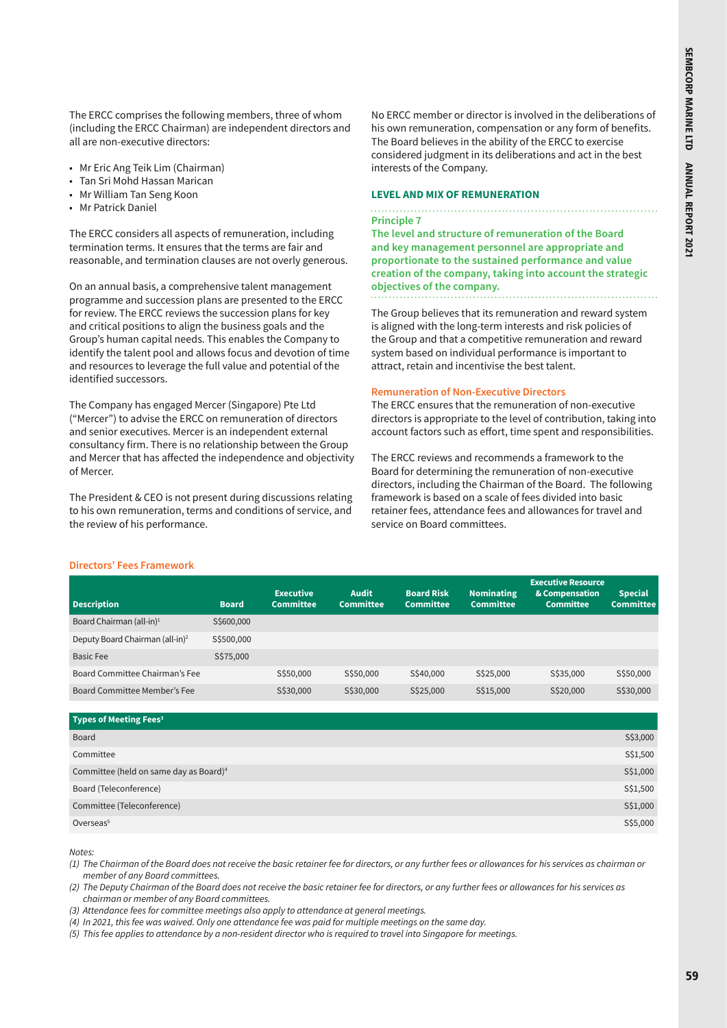The ERCC comprises the following members, three of whom (including the ERCC Chairman) are independent directors and all are non-executive directors:

- Mr Eric Ang Teik Lim (Chairman)
- Tan Sri Mohd Hassan Marican
- Mr William Tan Seng Koon
- Mr Patrick Daniel

The ERCC considers all aspects of remuneration, including termination terms. It ensures that the terms are fair and reasonable, and termination clauses are not overly generous.

On an annual basis, a comprehensive talent management programme and succession plans are presented to the ERCC for review. The ERCC reviews the succession plans for key and critical positions to align the business goals and the Group's human capital needs. This enables the Company to identify the talent pool and allows focus and devotion of time and resources to leverage the full value and potential of the identified successors.

The Company has engaged Mercer (Singapore) Pte Ltd ("Mercer") to advise the ERCC on remuneration of directors and senior executives. Mercer is an independent external consultancy firm. There is no relationship between the Group and Mercer that has affected the independence and objectivity of Mercer.

The President & CEO is not present during discussions relating to his own remuneration, terms and conditions of service, and the review of his performance.

No ERCC member or director is involved in the deliberations of his own remuneration, compensation or any form of benefits. The Board believes in the ability of the ERCC to exercise considered judgment in its deliberations and act in the best interests of the Company.

#### **LEVEL AND MIX OF REMUNERATION**

#### **Principle 7**

**The level and structure of remuneration of the Board and key management personnel are appropriate and proportionate to the sustained performance and value creation of the company, taking into account the strategic objectives of the company.**

The Group believes that its remuneration and reward system is aligned with the long-term interests and risk policies of the Group and that a competitive remuneration and reward system based on individual performance is important to attract, retain and incentivise the best talent.

#### **Remuneration of Non-Executive Directors**

The ERCC ensures that the remuneration of non-executive directors is appropriate to the level of contribution, taking into account factors such as effort, time spent and responsibilities.

The ERCC reviews and recommends a framework to the Board for determining the remuneration of non-executive directors, including the Chairman of the Board. The following framework is based on a scale of fees divided into basic retainer fees, attendance fees and allowances for travel and service on Board committees.

#### **Directors' Fees Framework**

| <b>Description</b>                          | <b>Board</b> | <b>Executive</b><br><b>Committee</b> | <b>Audit</b><br><b>Committee</b> | <b>Board Risk</b><br><b>Committee</b> | <b>Nominating</b><br><b>Committee</b> | <b>Executive Resource</b><br>& Compensation<br><b>Committee</b> | <b>Special</b><br><b>Committee</b> |
|---------------------------------------------|--------------|--------------------------------------|----------------------------------|---------------------------------------|---------------------------------------|-----------------------------------------------------------------|------------------------------------|
| Board Chairman (all-in) <sup>1</sup>        | S\$600,000   |                                      |                                  |                                       |                                       |                                                                 |                                    |
| Deputy Board Chairman (all-in) <sup>2</sup> | S\$500,000   |                                      |                                  |                                       |                                       |                                                                 |                                    |
| Basic Fee                                   | S\$75,000    |                                      |                                  |                                       |                                       |                                                                 |                                    |
| Board Committee Chairman's Fee              |              | S\$50,000                            | S\$50,000                        | S\$40,000                             | S\$25,000                             | S\$35,000                                                       | S\$50,000                          |
| Board Committee Member's Fee                |              | S\$30,000                            | S\$30,000                        | S\$25,000                             | S\$15,000                             | S\$20,000                                                       | S\$30,000                          |

| S\$3,000 |
|----------|
| S\$1,500 |
| S\$1,000 |
| S\$1,500 |
| S\$1,000 |
| S\$5,000 |
|          |

*Notes:*

*(1) The Chairman of the Board does not receive the basic retainer fee for directors, or any further fees or allowances for his services as chairman or member of any Board committees.*

*(2) The Deputy Chairman of the Board does not receive the basic retainer fee for directors, or any further fees or allowances for his services as chairman or member of any Board committees.*

*(3) Attendance fees for committee meetings also apply to attendance at general meetings.* 

*(4) In 2021, this fee was waived. Only one attendance fee was paid for multiple meetings on the same day.* 

*(5) This fee applies to attendance by a non-resident director who is required to travel into Singapore for meetings.*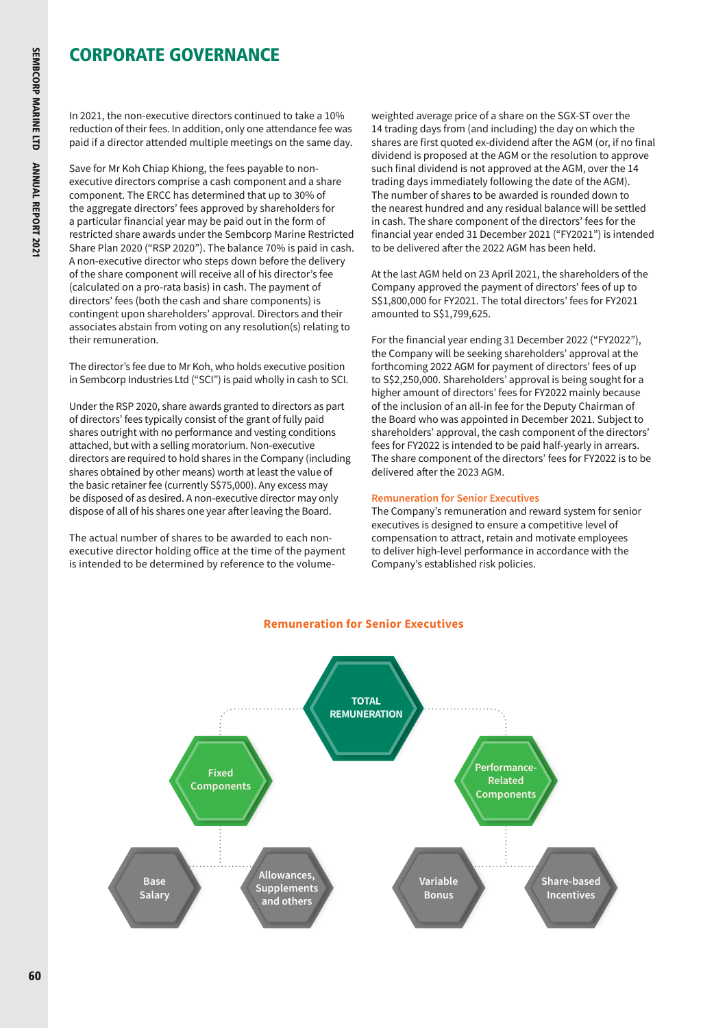In 2021, the non-executive directors continued to take a 10% reduction of their fees. In addition, only one attendance fee was paid if a director attended multiple meetings on the same day.

Save for Mr Koh Chiap Khiong, the fees payable to nonexecutive directors comprise a cash component and a share component. The ERCC has determined that up to 30% of the aggregate directors' fees approved by shareholders for a particular financial year may be paid out in the form of restricted share awards under the Sembcorp Marine Restricted Share Plan 2020 ("RSP 2020"). The balance 70% is paid in cash. A non-executive director who steps down before the delivery of the share component will receive all of his director's fee (calculated on a pro-rata basis) in cash. The payment of directors' fees (both the cash and share components) is contingent upon shareholders' approval. Directors and their associates abstain from voting on any resolution(s) relating to their remuneration.

The director's fee due to Mr Koh, who holds executive position in Sembcorp Industries Ltd ("SCI") is paid wholly in cash to SCI.

Under the RSP 2020, share awards granted to directors as part of directors' fees typically consist of the grant of fully paid shares outright with no performance and vesting conditions attached, but with a selling moratorium. Non-executive directors are required to hold shares in the Company (including shares obtained by other means) worth at least the value of the basic retainer fee (currently S\$75,000). Any excess may be disposed of as desired. A non-executive director may only dispose of all of his shares one year after leaving the Board.

The actual number of shares to be awarded to each nonexecutive director holding office at the time of the payment is intended to be determined by reference to the volumeweighted average price of a share on the SGX-ST over the 14 trading days from (and including) the day on which the shares are first quoted ex-dividend after the AGM (or, if no final dividend is proposed at the AGM or the resolution to approve such final dividend is not approved at the AGM, over the 14 trading days immediately following the date of the AGM). The number of shares to be awarded is rounded down to the nearest hundred and any residual balance will be settled in cash. The share component of the directors' fees for the financial year ended 31 December 2021 ("FY2021") is intended to be delivered after the 2022 AGM has been held.

At the last AGM held on 23 April 2021, the shareholders of the Company approved the payment of directors' fees of up to S\$1,800,000 for FY2021. The total directors' fees for FY2021 amounted to S\$1,799,625.

For the financial year ending 31 December 2022 ("FY2022"), the Company will be seeking shareholders' approval at the forthcoming 2022 AGM for payment of directors' fees of up to S\$2,250,000. Shareholders' approval is being sought for a higher amount of directors' fees for FY2022 mainly because of the inclusion of an all-in fee for the Deputy Chairman of the Board who was appointed in December 2021. Subject to shareholders' approval, the cash component of the directors' fees for FY2022 is intended to be paid half-yearly in arrears. The share component of the directors' fees for FY2022 is to be delivered after the 2023 AGM.

### **Remuneration for Senior Executives**

The Company's remuneration and reward system for senior executives is designed to ensure a competitive level of compensation to attract, retain and motivate employees to deliver high-level performance in accordance with the Company's established risk policies.



# **Remuneration for Senior Executives**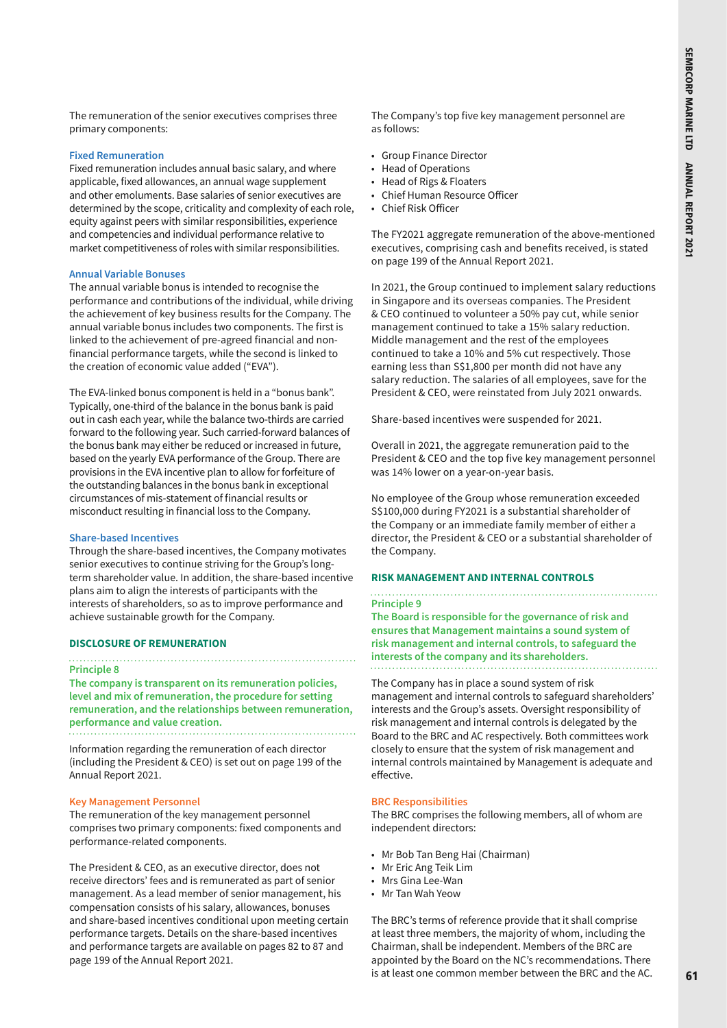The remuneration of the senior executives comprises three primary components:

### **Fixed Remuneration**

Fixed remuneration includes annual basic salary, and where applicable, fixed allowances, an annual wage supplement and other emoluments. Base salaries of senior executives are determined by the scope, criticality and complexity of each role, equity against peers with similar responsibilities, experience and competencies and individual performance relative to market competitiveness of roles with similar responsibilities.

#### **Annual Variable Bonuses**

The annual variable bonus is intended to recognise the performance and contributions of the individual, while driving the achievement of key business results for the Company. The annual variable bonus includes two components. The first is linked to the achievement of pre-agreed financial and nonfinancial performance targets, while the second is linked to the creation of economic value added ("EVA").

The EVA-linked bonus component is held in a "bonus bank". Typically, one-third of the balance in the bonus bank is paid out in cash each year, while the balance two-thirds are carried forward to the following year. Such carried-forward balances of the bonus bank may either be reduced or increased in future, based on the yearly EVA performance of the Group. There are provisions in the EVA incentive plan to allow for forfeiture of the outstanding balances in the bonus bank in exceptional circumstances of mis-statement of financial results or misconduct resulting in financial loss to the Company.

#### **Share-based Incentives**

Through the share-based incentives, the Company motivates senior executives to continue striving for the Group's longterm shareholder value. In addition, the share-based incentive plans aim to align the interests of participants with the interests of shareholders, so as to improve performance and achieve sustainable growth for the Company.

#### **DISCLOSURE OF REMUNERATION**

#### **Principle 8**

**The company is transparent on its remuneration policies, level and mix of remuneration, the procedure for setting remuneration, and the relationships between remuneration, performance and value creation.**

Information regarding the remuneration of each director (including the President & CEO) is set out on page 199 of the Annual Report 2021.

#### **Key Management Personnel**

The remuneration of the key management personnel comprises two primary components: fixed components and performance-related components.

The President & CEO, as an executive director, does not receive directors' fees and is remunerated as part of senior management. As a lead member of senior management, his compensation consists of his salary, allowances, bonuses and share-based incentives conditional upon meeting certain performance targets. Details on the share-based incentives and performance targets are available on pages 82 to 87 and page 199 of the Annual Report 2021.

The Company's top five key management personnel are as follows:

- Group Finance Director
- Head of Operations
- Head of Rigs & Floaters
- Chief Human Resource Officer
- Chief Risk Officer

The FY2021 aggregate remuneration of the above-mentioned executives, comprising cash and benefits received, is stated on page 199 of the Annual Report 2021.

In 2021, the Group continued to implement salary reductions in Singapore and its overseas companies. The President & CEO continued to volunteer a 50% pay cut, while senior management continued to take a 15% salary reduction. Middle management and the rest of the employees continued to take a 10% and 5% cut respectively. Those earning less than S\$1,800 per month did not have any salary reduction. The salaries of all employees, save for the President & CEO, were reinstated from July 2021 onwards.

Share-based incentives were suspended for 2021.

Overall in 2021, the aggregate remuneration paid to the President & CEO and the top five key management personnel was 14% lower on a year-on-year basis.

No employee of the Group whose remuneration exceeded S\$100,000 during FY2021 is a substantial shareholder of the Company or an immediate family member of either a director, the President & CEO or a substantial shareholder of the Company.

#### **RISK MANAGEMENT AND INTERNAL CONTROLS**

# **Principle 9 The Board is responsible for the governance of risk and ensures that Management maintains a sound system of**

**risk management and internal controls, to safeguard the interests of the company and its shareholders.**

#### The Company has in place a sound system of risk

management and internal controls to safeguard shareholders' interests and the Group's assets. Oversight responsibility of risk management and internal controls is delegated by the Board to the BRC and AC respectively. Both committees work closely to ensure that the system of risk management and internal controls maintained by Management is adequate and effective.

#### **BRC Responsibilities**

The BRC comprises the following members, all of whom are independent directors:

- Mr Bob Tan Beng Hai (Chairman)
- Mr Eric Ang Teik Lim
- Mrs Gina Lee-Wan
- Mr Tan Wah Yeow

The BRC's terms of reference provide that it shall comprise at least three members, the majority of whom, including the Chairman, shall be independent. Members of the BRC are appointed by the Board on the NC's recommendations. There is at least one common member between the BRC and the AC.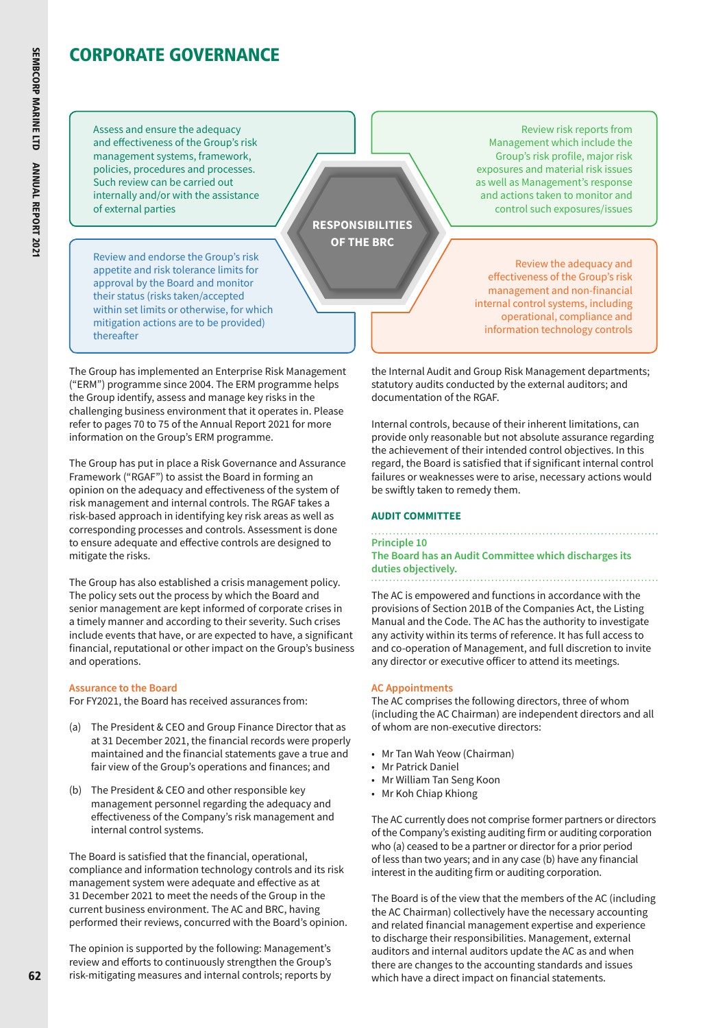Assess and ensure the adequacy and effectiveness of the Group's risk management systems, framework, policies, procedures and processes. Such review can be carried out internally and/or with the assistance of external parties

Review and endorse the Group's risk appetite and risk tolerance limits for approval by the Board and monitor their status (risks taken/accepted within set limits or otherwise, for which mitigation actions are to be provided) thereafter

**RESPONSIBILITIES OF THE BRC**

The Group has implemented an Enterprise Risk Management ("ERM") programme since 2004. The ERM programme helps the Group identify, assess and manage key risks in the challenging business environment that it operates in. Please refer to pages 70 to 75 of the Annual Report 2021 for more information on the Group's ERM programme.

The Group has put in place a Risk Governance and Assurance Framework ("RGAF") to assist the Board in forming an opinion on the adequacy and effectiveness of the system of risk management and internal controls. The RGAF takes a risk-based approach in identifying key risk areas as well as corresponding processes and controls. Assessment is done to ensure adequate and effective controls are designed to mitigate the risks.

The Group has also established a crisis management policy. The policy sets out the process by which the Board and senior management are kept informed of corporate crises in a timely manner and according to their severity. Such crises include events that have, or are expected to have, a significant financial, reputational or other impact on the Group's business and operations.

### **Assurance to the Board**

For FY2021, the Board has received assurances from:

- (a) The President & CEO and Group Finance Director that as at 31 December 2021, the financial records were properly maintained and the financial statements gave a true and fair view of the Group's operations and finances; and
- (b) The President & CEO and other responsible key management personnel regarding the adequacy and effectiveness of the Company's risk management and internal control systems.

The Board is satisfied that the financial, operational, compliance and information technology controls and its risk management system were adequate and effective as at 31 December 2021 to meet the needs of the Group in the current business environment. The AC and BRC, having performed their reviews, concurred with the Board's opinion.

The opinion is supported by the following: Management's review and efforts to continuously strengthen the Group's risk-mitigating measures and internal controls; reports by

Review risk reports from Management which include the Group's risk profile, major risk exposures and material risk issues as well as Management's response and actions taken to monitor and control such exposures/issues

Review the adequacy and effectiveness of the Group's risk management and non-financial internal control systems, including operational, compliance and information technology controls

the Internal Audit and Group Risk Management departments; statutory audits conducted by the external auditors; and documentation of the RGAF.

Internal controls, because of their inherent limitations, can provide only reasonable but not absolute assurance regarding the achievement of their intended control objectives. In this regard, the Board is satisfied that if significant internal control failures or weaknesses were to arise, necessary actions would be swiftly taken to remedy them.

# **AUDIT COMMITTEE**

#### **Principle 10 The Board has an Audit Committee which discharges its duties objectively.** . . . . . . . . . . . .

The AC is empowered and functions in accordance with the provisions of Section 201B of the Companies Act, the Listing Manual and the Code. The AC has the authority to investigate any activity within its terms of reference. It has full access to and co-operation of Management, and full discretion to invite any director or executive officer to attend its meetings.

### **AC Appointments**

The AC comprises the following directors, three of whom (including the AC Chairman) are independent directors and all of whom are non-executive directors:

- Mr Tan Wah Yeow (Chairman)
- Mr Patrick Daniel
- Mr William Tan Seng Koon
- Mr Koh Chiap Khiong

The AC currently does not comprise former partners or directors of the Company's existing auditing firm or auditing corporation who (a) ceased to be a partner or director for a prior period of less than two years; and in any case (b) have any financial interest in the auditing firm or auditing corporation.

The Board is of the view that the members of the AC (including the AC Chairman) collectively have the necessary accounting and related financial management expertise and experience to discharge their responsibilities. Management, external auditors and internal auditors update the AC as and when there are changes to the accounting standards and issues which have a direct impact on financial statements.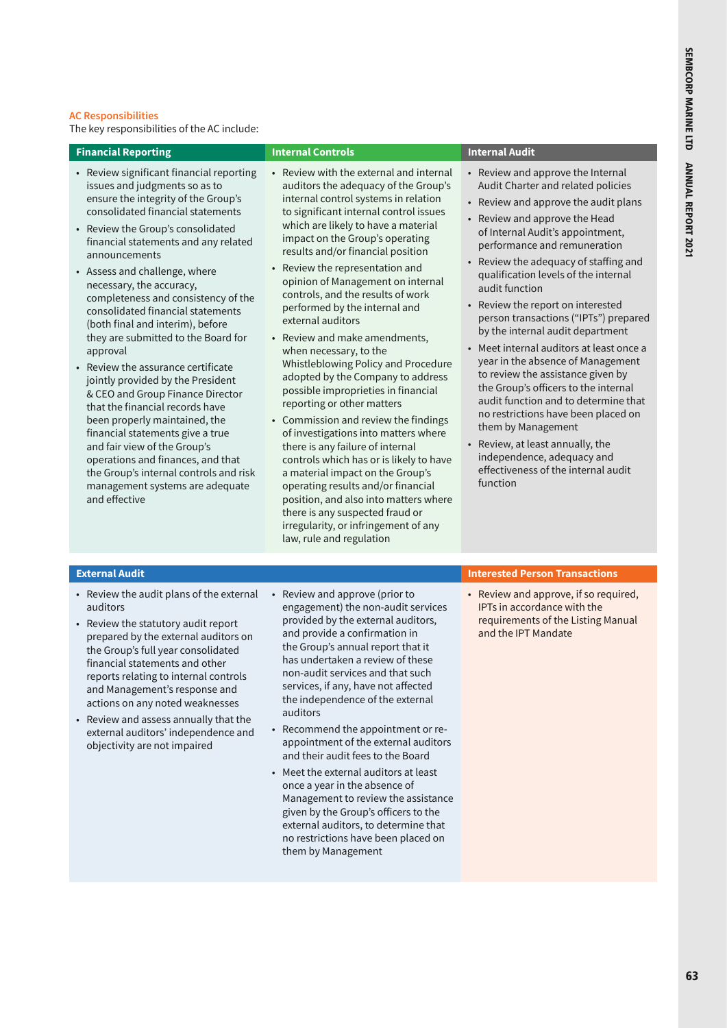### **AC Responsibilities**

The key responsibilities of the AC include:

| <b>Financial Reporting</b>                                                                                                                                                                                                                                                                                                                                                                                                                                                                                                                                                                                                                                                                                                                                                                                                                                                    | <b>Internal Controls</b>                                                                                                                                                                                                                                                                                                                                                                                                                                                                                                                                                                                                                                                                                                                                                                                                                                                                                                                                                                                                     | <b>Internal Audit</b>                                                                                                                                                                                                                                                                                                                                                                                                                                                                                                                                                                                                                                                                                                                                                                                                                                                                  |
|-------------------------------------------------------------------------------------------------------------------------------------------------------------------------------------------------------------------------------------------------------------------------------------------------------------------------------------------------------------------------------------------------------------------------------------------------------------------------------------------------------------------------------------------------------------------------------------------------------------------------------------------------------------------------------------------------------------------------------------------------------------------------------------------------------------------------------------------------------------------------------|------------------------------------------------------------------------------------------------------------------------------------------------------------------------------------------------------------------------------------------------------------------------------------------------------------------------------------------------------------------------------------------------------------------------------------------------------------------------------------------------------------------------------------------------------------------------------------------------------------------------------------------------------------------------------------------------------------------------------------------------------------------------------------------------------------------------------------------------------------------------------------------------------------------------------------------------------------------------------------------------------------------------------|----------------------------------------------------------------------------------------------------------------------------------------------------------------------------------------------------------------------------------------------------------------------------------------------------------------------------------------------------------------------------------------------------------------------------------------------------------------------------------------------------------------------------------------------------------------------------------------------------------------------------------------------------------------------------------------------------------------------------------------------------------------------------------------------------------------------------------------------------------------------------------------|
| • Review significant financial reporting<br>issues and judgments so as to<br>ensure the integrity of the Group's<br>consolidated financial statements<br>• Review the Group's consolidated<br>financial statements and any related<br>announcements<br>• Assess and challenge, where<br>necessary, the accuracy,<br>completeness and consistency of the<br>consolidated financial statements<br>(both final and interim), before<br>they are submitted to the Board for<br>approval<br>• Review the assurance certificate<br>jointly provided by the President<br>& CEO and Group Finance Director<br>that the financial records have<br>been properly maintained, the<br>financial statements give a true<br>and fair view of the Group's<br>operations and finances, and that<br>the Group's internal controls and risk<br>management systems are adequate<br>and effective | • Review with the external and internal<br>auditors the adequacy of the Group's<br>internal control systems in relation<br>to significant internal control issues<br>which are likely to have a material<br>impact on the Group's operating<br>results and/or financial position<br>• Review the representation and<br>opinion of Management on internal<br>controls, and the results of work<br>performed by the internal and<br>external auditors<br>• Review and make amendments,<br>when necessary, to the<br>Whistleblowing Policy and Procedure<br>adopted by the Company to address<br>possible improprieties in financial<br>reporting or other matters<br>• Commission and review the findings<br>of investigations into matters where<br>there is any failure of internal<br>controls which has or is likely to have<br>a material impact on the Group's<br>operating results and/or financial<br>position, and also into matters where<br>there is any suspected fraud or<br>irregularity, or infringement of any | • Review and approve the Internal<br>Audit Charter and related policies<br>Review and approve the audit plans<br>$\bullet$<br>Review and approve the Head<br>$\bullet$<br>of Internal Audit's appointment,<br>performance and remuneration<br>Review the adequacy of staffing and<br>$\bullet$<br>qualification levels of the internal<br>audit function<br>Review the report on interested<br>$\bullet$<br>person transactions ("IPTs") prepared<br>by the internal audit department<br>Meet internal auditors at least once a<br>$\bullet$<br>year in the absence of Management<br>to review the assistance given by<br>the Group's officers to the internal<br>audit function and to determine that<br>no restrictions have been placed on<br>them by Management<br>Review, at least annually, the<br>independence, adequacy and<br>effectiveness of the internal audit<br>function |

- Review the audit plans of the external auditors
- Review the statutory audit report prepared by the external auditors on the Group's full year consolidated financial statements and other reports relating to internal controls and Management's response and actions on any noted weaknesses
- Review and assess annually that the external auditors' independence and objectivity are not impaired
- Review and approve (prior to engagement) the non-audit services provided by the external auditors, and provide a confirmation in the Group's annual report that it has undertaken a review of these non-audit services and that such services, if any, have not affected the independence of the external auditors

law, rule and regulation

- Recommend the appointment or reappointment of the external auditors and their audit fees to the Board
- Meet the external auditors at least once a year in the absence of Management to review the assistance given by the Group's officers to the external auditors, to determine that no restrictions have been placed on them by Management

# **External Audit Interested Person Transactions**

• Review and approve, if so required, IPTs in accordance with the requirements of the Listing Manual and the IPT Mandate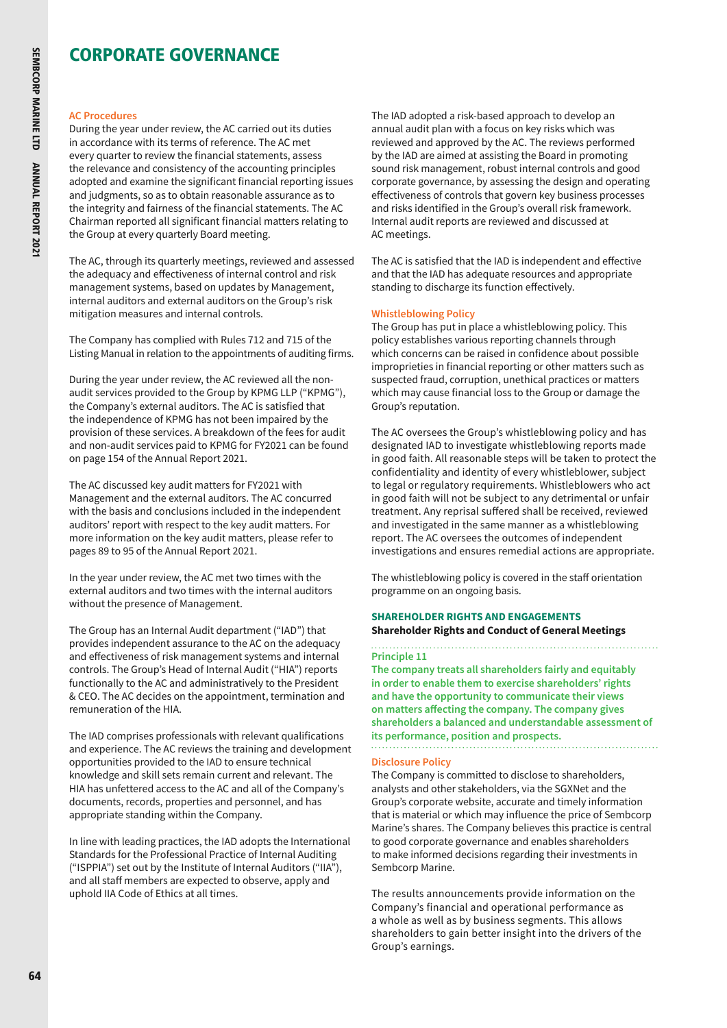#### **AC Procedures**

During the year under review, the AC carried out its duties in accordance with its terms of reference. The AC met every quarter to review the financial statements, assess the relevance and consistency of the accounting principles adopted and examine the significant financial reporting issues and judgments, so as to obtain reasonable assurance as to the integrity and fairness of the financial statements. The AC Chairman reported all significant financial matters relating to the Group at every quarterly Board meeting.

The AC, through its quarterly meetings, reviewed and assessed the adequacy and effectiveness of internal control and risk management systems, based on updates by Management, internal auditors and external auditors on the Group's risk mitigation measures and internal controls.

The Company has complied with Rules 712 and 715 of the Listing Manual in relation to the appointments of auditing firms.

During the year under review, the AC reviewed all the nonaudit services provided to the Group by KPMG LLP ("KPMG"), the Company's external auditors. The AC is satisfied that the independence of KPMG has not been impaired by the provision of these services. A breakdown of the fees for audit and non-audit services paid to KPMG for FY2021 can be found on page 154 of the Annual Report 2021.

The AC discussed key audit matters for FY2021 with Management and the external auditors. The AC concurred with the basis and conclusions included in the independent auditors' report with respect to the key audit matters. For more information on the key audit matters, please refer to pages 89 to 95 of the Annual Report 2021.

In the year under review, the AC met two times with the external auditors and two times with the internal auditors without the presence of Management.

The Group has an Internal Audit department ("IAD") that provides independent assurance to the AC on the adequacy and effectiveness of risk management systems and internal controls. The Group's Head of Internal Audit ("HIA") reports functionally to the AC and administratively to the President & CEO. The AC decides on the appointment, termination and remuneration of the HIA.

The IAD comprises professionals with relevant qualifications and experience. The AC reviews the training and development opportunities provided to the IAD to ensure technical knowledge and skill sets remain current and relevant. The HIA has unfettered access to the AC and all of the Company's documents, records, properties and personnel, and has appropriate standing within the Company.

In line with leading practices, the IAD adopts the International Standards for the Professional Practice of Internal Auditing ("ISPPIA") set out by the Institute of Internal Auditors ("IIA"), and all staff members are expected to observe, apply and uphold IIA Code of Ethics at all times.

The IAD adopted a risk-based approach to develop an annual audit plan with a focus on key risks which was reviewed and approved by the AC. The reviews performed by the IAD are aimed at assisting the Board in promoting sound risk management, robust internal controls and good corporate governance, by assessing the design and operating effectiveness of controls that govern key business processes and risks identified in the Group's overall risk framework. Internal audit reports are reviewed and discussed at AC meetings.

The AC is satisfied that the IAD is independent and effective and that the IAD has adequate resources and appropriate standing to discharge its function effectively.

### **Whistleblowing Policy**

The Group has put in place a whistleblowing policy. This policy establishes various reporting channels through which concerns can be raised in confidence about possible improprieties in financial reporting or other matters such as suspected fraud, corruption, unethical practices or matters which may cause financial loss to the Group or damage the Group's reputation.

The AC oversees the Group's whistleblowing policy and has designated IAD to investigate whistleblowing reports made in good faith. All reasonable steps will be taken to protect the confidentiality and identity of every whistleblower, subject to legal or regulatory requirements. Whistleblowers who act in good faith will not be subject to any detrimental or unfair treatment. Any reprisal suffered shall be received, reviewed and investigated in the same manner as a whistleblowing report. The AC oversees the outcomes of independent investigations and ensures remedial actions are appropriate.

The whistleblowing policy is covered in the staff orientation programme on an ongoing basis.

# **SHAREHOLDER RIGHTS AND ENGAGEMENTS Shareholder Rights and Conduct of General Meetings**

**Principle 11**

**The company treats all shareholders fairly and equitably in order to enable them to exercise shareholders' rights and have the opportunity to communicate their views on matters affecting the company. The company gives shareholders a balanced and understandable assessment of its performance, position and prospects.**

### **Disclosure Policy**

The Company is committed to disclose to shareholders, analysts and other stakeholders, via the SGXNet and the Group's corporate website, accurate and timely information that is material or which may influence the price of Sembcorp Marine's shares. The Company believes this practice is central to good corporate governance and enables shareholders to make informed decisions regarding their investments in Sembcorp Marine.

The results announcements provide information on the Company's financial and operational performance as a whole as well as by business segments. This allows shareholders to gain better insight into the drivers of the Group's earnings.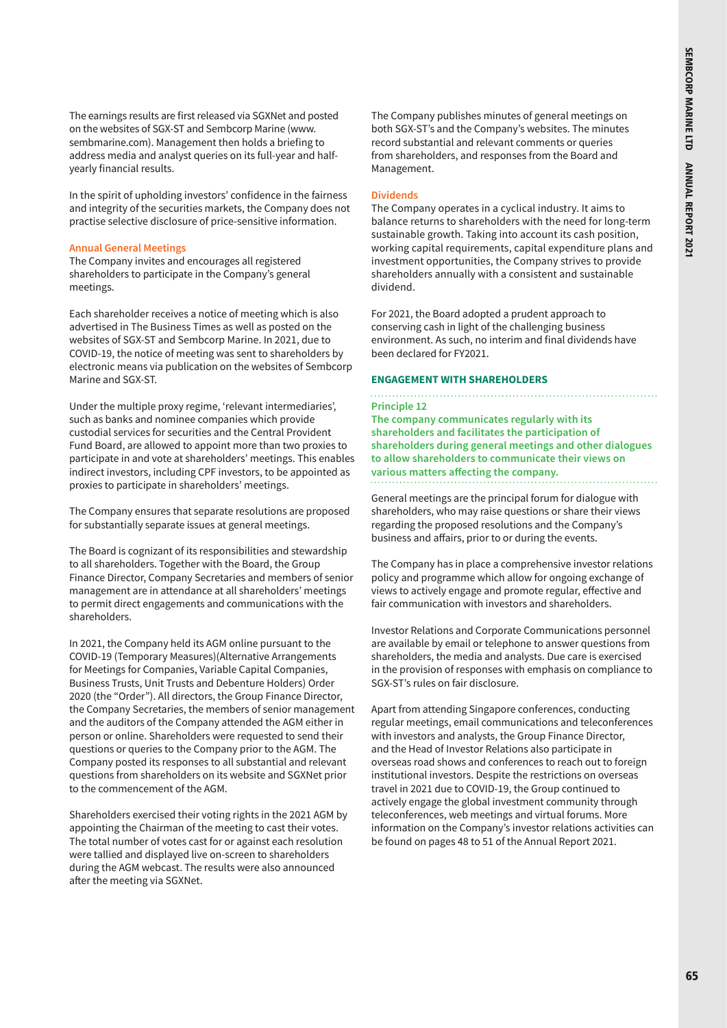The earnings results are first released via SGXNet and posted on the websites of SGX-ST and Sembcorp Marine (www. sembmarine.com). Management then holds a briefing to address media and analyst queries on its full-year and halfyearly financial results.

In the spirit of upholding investors' confidence in the fairness and integrity of the securities markets, the Company does not practise selective disclosure of price-sensitive information.

#### **Annual General Meetings**

The Company invites and encourages all registered shareholders to participate in the Company's general meetings.

Each shareholder receives a notice of meeting which is also advertised in The Business Times as well as posted on the websites of SGX-ST and Sembcorp Marine. In 2021, due to COVID-19, the notice of meeting was sent to shareholders by electronic means via publication on the websites of Sembcorp Marine and SGX-ST.

Under the multiple proxy regime, 'relevant intermediaries', such as banks and nominee companies which provide custodial services for securities and the Central Provident Fund Board, are allowed to appoint more than two proxies to participate in and vote at shareholders' meetings. This enables indirect investors, including CPF investors, to be appointed as proxies to participate in shareholders' meetings.

The Company ensures that separate resolutions are proposed for substantially separate issues at general meetings.

The Board is cognizant of its responsibilities and stewardship to all shareholders. Together with the Board, the Group Finance Director, Company Secretaries and members of senior management are in attendance at all shareholders' meetings to permit direct engagements and communications with the shareholders.

In 2021, the Company held its AGM online pursuant to the COVID-19 (Temporary Measures)(Alternative Arrangements for Meetings for Companies, Variable Capital Companies, Business Trusts, Unit Trusts and Debenture Holders) Order 2020 (the "Order"). All directors, the Group Finance Director, the Company Secretaries, the members of senior management and the auditors of the Company attended the AGM either in person or online. Shareholders were requested to send their questions or queries to the Company prior to the AGM. The Company posted its responses to all substantial and relevant questions from shareholders on its website and SGXNet prior to the commencement of the AGM.

Shareholders exercised their voting rights in the 2021 AGM by appointing the Chairman of the meeting to cast their votes. The total number of votes cast for or against each resolution were tallied and displayed live on-screen to shareholders during the AGM webcast. The results were also announced after the meeting via SGXNet.

The Company publishes minutes of general meetings on both SGX-ST's and the Company's websites. The minutes record substantial and relevant comments or queries from shareholders, and responses from the Board and Management.

#### **Dividends**

The Company operates in a cyclical industry. It aims to balance returns to shareholders with the need for long-term sustainable growth. Taking into account its cash position, working capital requirements, capital expenditure plans and investment opportunities, the Company strives to provide shareholders annually with a consistent and sustainable dividend.

For 2021, the Board adopted a prudent approach to conserving cash in light of the challenging business environment. As such, no interim and final dividends have been declared for FY2021.

#### **ENGAGEMENT WITH SHAREHOLDERS**

#### **Principle 12**

**The company communicates regularly with its shareholders and facilitates the participation of shareholders during general meetings and other dialogues to allow shareholders to communicate their views on various matters affecting the company.**

General meetings are the principal forum for dialogue with shareholders, who may raise questions or share their views regarding the proposed resolutions and the Company's business and affairs, prior to or during the events.

The Company has in place a comprehensive investor relations policy and programme which allow for ongoing exchange of views to actively engage and promote regular, effective and fair communication with investors and shareholders.

Investor Relations and Corporate Communications personnel are available by email or telephone to answer questions from shareholders, the media and analysts. Due care is exercised in the provision of responses with emphasis on compliance to SGX-ST's rules on fair disclosure.

Apart from attending Singapore conferences, conducting regular meetings, email communications and teleconferences with investors and analysts, the Group Finance Director, and the Head of Investor Relations also participate in overseas road shows and conferences to reach out to foreign institutional investors. Despite the restrictions on overseas travel in 2021 due to COVID-19, the Group continued to actively engage the global investment community through teleconferences, web meetings and virtual forums. More information on the Company's investor relations activities can be found on pages 48 to 51 of the Annual Report 2021.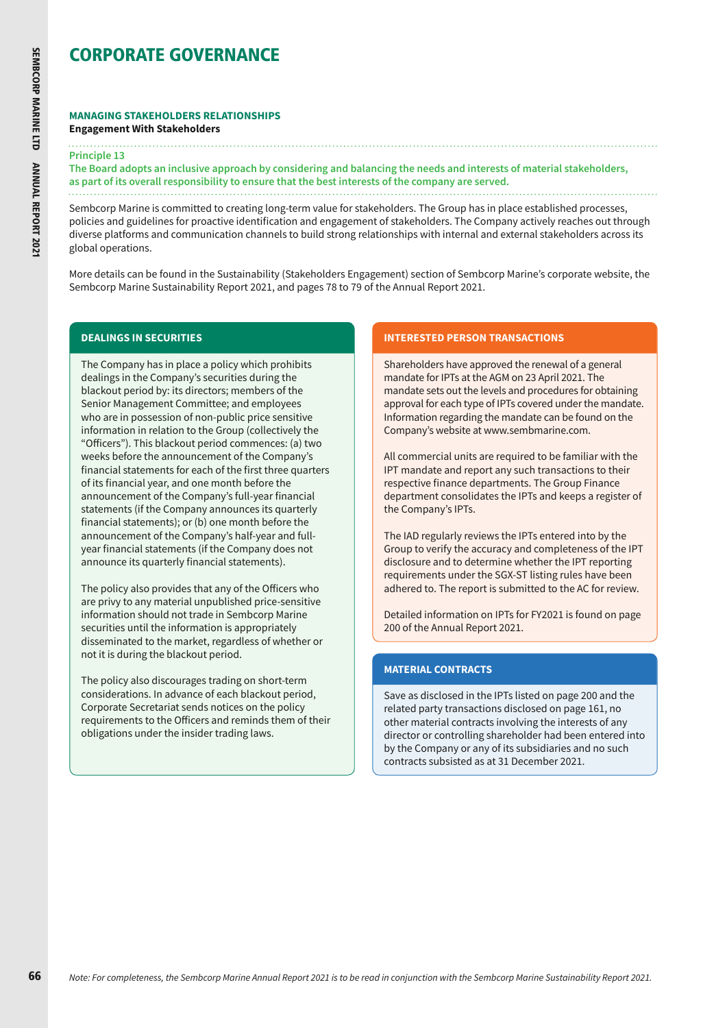#### **MANAGING STAKEHOLDERS RELATIONSHIPS Engagement With Stakeholders**

#### **Principle 13**

**The Board adopts an inclusive approach by considering and balancing the needs and interests of material stakeholders, as part of its overall responsibility to ensure that the best interests of the company are served.** 

Sembcorp Marine is committed to creating long-term value for stakeholders. The Group has in place established processes, policies and guidelines for proactive identification and engagement of stakeholders. The Company actively reaches out through diverse platforms and communication channels to build strong relationships with internal and external stakeholders across its global operations.

More details can be found in the Sustainability (Stakeholders Engagement) section of Sembcorp Marine's corporate website, the Sembcorp Marine Sustainability Report 2021, and pages 78 to 79 of the Annual Report 2021.

# **DEALINGS IN SECURITIES**

The Company has in place a policy which prohibits dealings in the Company's securities during the blackout period by: its directors; members of the Senior Management Committee; and employees who are in possession of non-public price sensitive information in relation to the Group (collectively the "Officers"). This blackout period commences: (a) two weeks before the announcement of the Company's financial statements for each of the first three quarters of its financial year, and one month before the announcement of the Company's full-year financial statements (if the Company announces its quarterly financial statements); or (b) one month before the announcement of the Company's half-year and fullyear financial statements (if the Company does not announce its quarterly financial statements).

The policy also provides that any of the Officers who are privy to any material unpublished price-sensitive information should not trade in Sembcorp Marine securities until the information is appropriately disseminated to the market, regardless of whether or not it is during the blackout period.

The policy also discourages trading on short-term considerations. In advance of each blackout period, Corporate Secretariat sends notices on the policy requirements to the Officers and reminds them of their obligations under the insider trading laws.

### **INTERESTED PERSON TRANSACTIONS**

Shareholders have approved the renewal of a general mandate for IPTs at the AGM on 23 April 2021. The mandate sets out the levels and procedures for obtaining approval for each type of IPTs covered under the mandate. Information regarding the mandate can be found on the Company's website at [www.sembmarine.com.](http://www.sembmarine.com)

All commercial units are required to be familiar with the IPT mandate and report any such transactions to their respective finance departments. The Group Finance department consolidates the IPTs and keeps a register of the Company's IPTs.

The IAD regularly reviews the IPTs entered into by the Group to verify the accuracy and completeness of the IPT disclosure and to determine whether the IPT reporting requirements under the SGX-ST listing rules have been adhered to. The report is submitted to the AC for review.

Detailed information on IPTs for FY2021 is found on page 200 of the Annual Report 2021.

### **MATERIAL CONTRACTS**

Save as disclosed in the IPTs listed on page 200 and the related party transactions disclosed on page 161, no other material contracts involving the interests of any director or controlling shareholder had been entered into by the Company or any of its subsidiaries and no such contracts subsisted as at 31 December 2021.